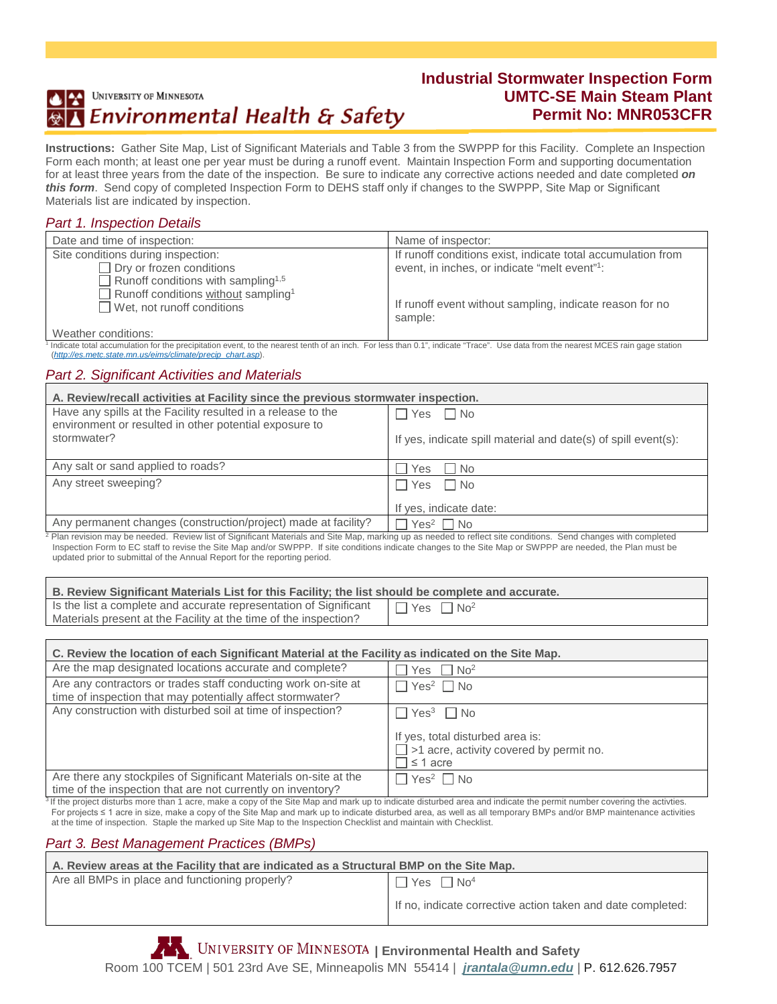# UNIVERSITY OF MINNESOTA Environmental Health & Safety

## **Industrial Stormwater Inspection Form UMTC-SE Main Steam Plant Permit No: MNR053CFR**

**Instructions:**Gather Site Map, List of Significant Materials and Table 3 from the SWPPP for this Facility. Complete an Inspection Form each month; at least one per year must be during a runoff event. Maintain Inspection Form and supporting documentation for at least three years from the date of the inspection. Be sure to indicate any corrective actions needed and date completed *on this form*. Send copy of completed Inspection Form to DEHS staff only if changes to the SWPPP, Site Map or Significant Materials list are indicated by inspection.

### *Part 1. Inspection Details*

| Date and time of inspection:                                                         | Name of inspector:                                                  |
|--------------------------------------------------------------------------------------|---------------------------------------------------------------------|
| Site conditions during inspection:                                                   | If runoff conditions exist, indicate total accumulation from        |
| Dry or frozen conditions                                                             | event, in inches, or indicate "melt event"?:                        |
| Runoff conditions with sampling <sup>1,5</sup>                                       |                                                                     |
| Runoff conditions without sampling <sup>1</sup><br>$\Box$ Wet, not runoff conditions | If runoff event without sampling, indicate reason for no<br>sample: |
| $\cdots$                                                                             |                                                                     |

Weather conditions:

Indicate total accumulation for the precipitation event, to the nearest tenth of an inch. For less than 0.1", indicate "Trace". Use data from the nearest MCES rain gage station (*[http://es.metc.state.mn.us/eims/climate/precip\\_chart.asp](http://es.metc.state.mn.us/eims/climate/precip_chart.asp)*).

#### *Part 2. Significant Activities and Materials*

| A. Review/recall activities at Facility since the previous stormwater inspection.                                      |                                                                |
|------------------------------------------------------------------------------------------------------------------------|----------------------------------------------------------------|
| Have any spills at the Facility resulted in a release to the<br>environment or resulted in other potential exposure to | Yes<br>l No                                                    |
| stormwater?                                                                                                            | If yes, indicate spill material and date(s) of spill event(s): |
| Any salt or sand applied to roads?                                                                                     | Yes<br>l Ino                                                   |
| Any street sweeping?                                                                                                   | I No<br><b>Yes</b>                                             |
|                                                                                                                        | If yes, indicate date:                                         |
| Any permanent changes (construction/project) made at facility?                                                         | $Yes2 \square No$                                              |

<sup>2</sup> Plan revision may be needed. Review list of Significant Materials and Site Map, marking up as needed to reflect site conditions. Send changes with completed Inspection Form to EC staff to revise the Site Map and/or SWPPP. If site conditions indicate changes to the Site Map or SWPPP are needed, the Plan must be updated prior to submittal of the Annual Report for the reporting period.

| B. Review Significant Materials List for this Facility; the list should be complete and accurate.                                     |                                   |
|---------------------------------------------------------------------------------------------------------------------------------------|-----------------------------------|
| Is the list a complete and accurate representation of Significant<br>Materials present at the Facility at the time of the inspection? | $\Box$ Yes $\Box$ No <sup>2</sup> |

| C. Review the location of each Significant Material at the Facility as indicated on the Site Map.                               |                                                                      |
|---------------------------------------------------------------------------------------------------------------------------------|----------------------------------------------------------------------|
| Are the map designated locations accurate and complete?                                                                         | Yes $\Box$ No <sup>2</sup>                                           |
| Are any contractors or trades staff conducting work on-site at<br>time of inspection that may potentially affect stormwater?    | $\Box$ Yes <sup>2</sup> $\Box$ No                                    |
| Any construction with disturbed soil at time of inspection?                                                                     | $\Box$ Yes $^3$ $\Box$ No                                            |
|                                                                                                                                 | If yes, total disturbed area is:                                     |
|                                                                                                                                 | $\Box$ >1 acre, activity covered by permit no.<br>$\exists$ ≤ 1 acre |
| Are there any stockpiles of Significant Materials on-site at the<br>time of the inspection that are not currently on inventory? | $\Box$ Yes <sup>2</sup> $\Box$ No                                    |
|                                                                                                                                 |                                                                      |

<sup>3</sup>If the project disturbs more than 1 acre, make a copy of the Site Map and mark up to indicate disturbed area and indicate the permit number covering the activties. For projects ≤ 1 acre in size, make a copy of the Site Map and mark up to indicate disturbed area, as well as all temporary BMPs and/or BMP maintenance activities at the time of inspection. Staple the marked up Site Map to the Inspection Checklist and maintain with Checklist.

#### *Part 3. Best Management Practices (BMPs)*

| A. Review areas at the Facility that are indicated as a Structural BMP on the Site Map. |                                                             |
|-----------------------------------------------------------------------------------------|-------------------------------------------------------------|
| Are all BMPs in place and functioning properly?                                         | $\Box$ Yes $\Box$ No <sup>4</sup>                           |
|                                                                                         | If no, indicate corrective action taken and date completed: |